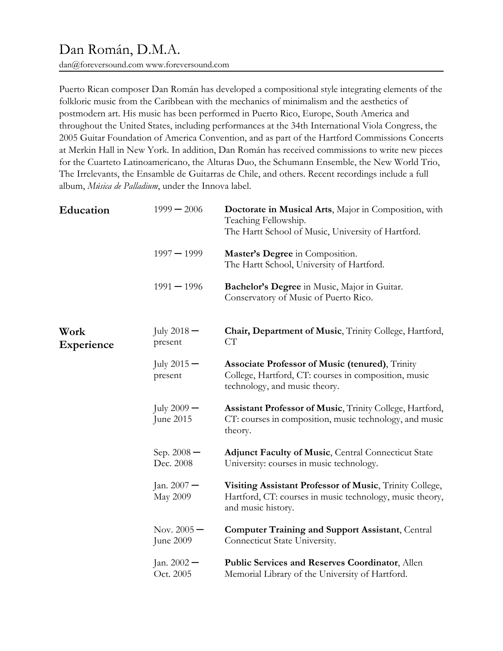# Dan Román, D.M.A.

dan@foreversound.com www.foreversound.com

Puerto Rican composer Dan Román has developed a compositional style integrating elements of the folkloric music from the Caribbean with the mechanics of minimalism and the aesthetics of postmodern art. His music has been performed in Puerto Rico, Europe, South America and throughout the United States, including performances at the 34th International Viola Congress, the 2005 Guitar Foundation of America Convention, and as part of the Hartford Commissions Concerts at Merkin Hall in New York. In addition, Dan Román has received commissions to write new pieces for the Cuarteto Latinoamericano, the Alturas Duo, the Schumann Ensemble, the New World Trio, The Irrelevants, the Ensamble de Guitarras de Chile, and others. Recent recordings include a full album, Música de Palladium, under the Innova label.

| Education          | $1999 - 2006$              | Doctorate in Musical Arts, Major in Composition, with<br>Teaching Fellowship.<br>The Hartt School of Music, University of Hartford.             |
|--------------------|----------------------------|-------------------------------------------------------------------------------------------------------------------------------------------------|
|                    | $1997 - 1999$              | Master's Degree in Composition.<br>The Hartt School, University of Hartford.                                                                    |
|                    | $1991 - 1996$              | Bachelor's Degree in Music, Major in Guitar.<br>Conservatory of Music of Puerto Rico.                                                           |
| Work<br>Experience | July $2018 -$<br>present   | Chair, Department of Music, Trinity College, Hartford,<br>CT <sup>-</sup>                                                                       |
|                    | July $2015 -$<br>present   | <b>Associate Professor of Music (tenured), Trinity</b><br>College, Hartford, CT: courses in composition, music<br>technology, and music theory. |
|                    | July $2009 -$<br>June 2015 | Assistant Professor of Music, Trinity College, Hartford,<br>CT: courses in composition, music technology, and music<br>theory.                  |
|                    | Sep. $2008 -$<br>Dec. 2008 | <b>Adjunct Faculty of Music, Central Connecticut State</b><br>University: courses in music technology.                                          |
|                    | Jan. $2007 -$<br>May 2009  | Visiting Assistant Professor of Music, Trinity College,<br>Hartford, CT: courses in music technology, music theory,<br>and music history.       |
|                    | Nov. $2005 -$<br>June 2009 | <b>Computer Training and Support Assistant, Central</b><br>Connecticut State University.                                                        |
|                    | Jan. $2002 -$<br>Oct. 2005 | Public Services and Reserves Coordinator, Allen<br>Memorial Library of the University of Hartford.                                              |